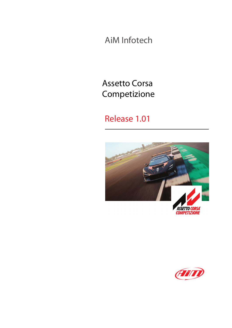AiM Infotech

# Assetto Corsa Competizione

# Release 1.01



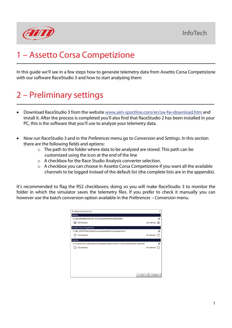

# 1 – Assetto Corsa Competizione

In this guide we'll see in a few steps how to generate telemetry data from Assetto Corsa Competizione with our software RaceStudio 3 and how to start analyzing them:

# 2 – Preliminary settings

- Download RaceStudio 3 from the website [www.aim-sportline.com/en/sw-fw-download.htm](http://www.aim-sportline.com/en/sw-fw-download.htm) and install it. After the process is completed you'll also find that RaceStudio 2 has been installed in your PC, this is the software that you'll use to analyze your telemetry data.
- Now run RaceStudio 3 and in the *Preferences* menu go to *Conversion* and *Settings*. In this section there are the following fields and options:
	- o The path to the folder where data to be analyzed are stored. This path can be customized using the icon at the end of the line
	- o A checkbox for the Race Studio Analysis converter selection.
	- o A checkbox you can choose in Assetto Corsa Competizione if you want all the available channels to be logged instead of the default list (the complete lists are in the appendix).

It's recommended to flag the RS2 checkboxes; doing so you will make RaceStudio 3 to monitor the folder in which the simulator saves the telemetry files. If you prefer to check it manually you can however use the batch conversion option available in the *Preferences* – *Conversion* menu.

| <b>Sa</b> Settings for Import of Files                                               |              | $\times$ |
|--------------------------------------------------------------------------------------|--------------|----------|
| <b>iRacing</b>                                                                       |              |          |
| C:\Users\emiliano.bina.AIM-TECH\Documents\iRacing\telemetry\                         |              | z        |
| RS2 Analysis<br> ✓                                                                   | All channels | اما      |
| Assetto Corsa Competizione                                                           |              |          |
| C:/AIM SPORT/RaceStudio3/user/data/AssettoCorsaCompetizione/                         |              | r.       |
| <b>RS2 Analysis</b>                                                                  | All channels |          |
| rFactor2                                                                             |              |          |
| C:\Program Files (x86)/Steam/steamapps/common/rFactor 2 Demo/UserData/AiM_telemetry/ |              | Ø        |
| <b>RS2 Analysis</b>                                                                  | All channels |          |
|                                                                                      |              |          |
|                                                                                      |              |          |
|                                                                                      |              |          |
|                                                                                      |              |          |
|                                                                                      |              |          |
| OK                                                                                   | Cancel       |          |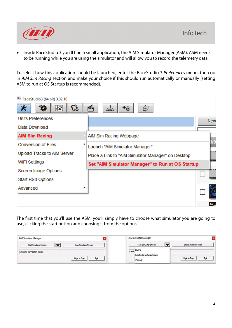

• Inside RaceStudio 3 you'll find a small application, the AiM Simulator Manager (ASM). ASM needs to be running while you are using the simulator and will allow you to record the telemetry data.

To select how this application should be launched, enter the RaceStudio 3 *Preferences* menu, then go in *AiM Sim Racing* section and make your choice if this should run automatically or manually (setting ASM to run at OS Startup is recommended).

| RaceStudio3 (64 bit) 3.32.10 |                                                    |               |
|------------------------------|----------------------------------------------------|---------------|
| 30<br>(∱2<br>ۍ               | 凾<br>ᅹ<br>它                                        |               |
| <b>Units Preferences</b>     |                                                    | <b>New</b>    |
| Data Download                |                                                    |               |
| <b>AiM Sim Racing</b>        | AiM Sim Racing Webpage                             |               |
| <b>Conversion of Files</b>   | Launch "AiM Simulator Manager"                     | )/9           |
| Upload Tracks to AiM Server  | Place a Link to "AiM Simulator Manager" on Desktop | in a t        |
| WiFi Settings                | Set "AiM Simulator Manager" to Run at OS Startup   | <b>RECORD</b> |
| Screen Image Options         |                                                    |               |
| Start RS3 Options            |                                                    | <b>74 GM</b>  |
| Advanced                     |                                                    |               |
|                              |                                                    |               |
|                              |                                                    |               |

The first time that you'll use the ASM, you'll simply have to choose what simulator you are going to use, clicking the start button and choosing it from the options.

| AiM Simulator Manager                                         | <b>AiM Simulator Manager</b>                            |                       |
|---------------------------------------------------------------|---------------------------------------------------------|-----------------------|
| <b>Start Simulator Stream</b><br><b>Stop Simulator Stream</b> | <b>Start Simulator Stream</b>                           | Stop Simulator Stream |
| Simulator connection closed<br>Est<br>High in Tray            | Simula Racing<br>AssettoCorsaCompetizione<br>if actor 2 | High in Tray<br>Egit  |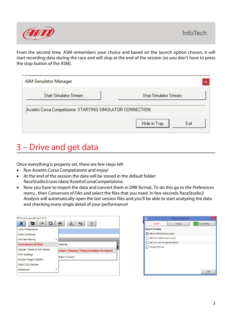

From the second time, ASM remembers your choice and based on the launch option chosen, it will start recording data during the race and will stop at the end of the session (so you don't have to press the stop button of the ASM).

| AiM Simulator Manager                                     | ×                     |
|-----------------------------------------------------------|-----------------------|
| <b>Start Simulator Stream</b>                             | Stop Simulator Stream |
| Assetto Corsa Competizione: STARTING SIMULATOR CONNECTION |                       |
|                                                           | Hide in Tray<br>Exit  |

### 3 – Drive and get data

Once everything is properly set, there are few steps left

- Run Assetto Corsa Competizione and enjoy!
- At the end of the session the data will be stored in the default folder: RaceStudio3/user/data/AssettoCorsaCompetizione.
- Now you have to import the data and convert them in DRK format. To do this go to the *Preferences* menu , then *Conversion of Files* and select the files that you need. In few seconds RaceStudio2 Analysis will automatically open the last session files and you'll be able to start analyzing the data and checking every single detail of your performance!

| RaceStudio3 (64 bit) 3.32.10 |                                              |
|------------------------------|----------------------------------------------|
| <br>B<br>γ≥                  | 嚼<br>ᅹ<br>₩                                  |
| <b>Units Preferences</b>     |                                              |
| Data Download                |                                              |
| ٠<br>AiM Sim Racing          |                                              |
| <b>Conversion of Files</b>   | Settings                                     |
| Upload Tracks to AiM Server  | 2 New "iRacing" File(s) Available for Import |
| <b>WiFi Settings</b>         |                                              |
| <b>Screen Image Options</b>  | <b>Batch Convert</b>                         |
| Start RS3 Options            |                                              |
| Advanced<br>٠                |                                              |
|                              |                                              |

| <b>RS3</b>                    | <b>Batch Conversion</b> | ×          |
|-------------------------------|-------------------------|------------|
| Folder                        | File(s)                 | Converting |
| <b>Export Formats</b>         |                         |            |
| AiM drk [RS2Analysis data]    |                         |            |
| AiM CSV [RS2Analysis style]   |                         |            |
| AiM CSV [SCCA Specifications] |                         |            |
| Google(TM) kml                |                         |            |
|                               |                         |            |
|                               |                         |            |
|                               |                         |            |
|                               |                         |            |
|                               |                         |            |
|                               |                         | Exit       |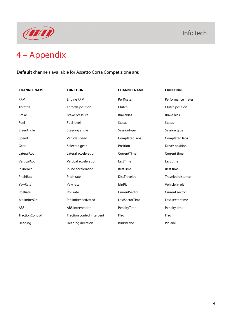

**Default** channels available for Assetto Corsa Competizione are:

| <b>CHANNEL NAME</b>    | <b>FUNCTION</b>            | <b>CHANNEL NAME</b> | <b>FUNCTION</b>          |
|------------------------|----------------------------|---------------------|--------------------------|
| <b>RPM</b>             | Engine RPM                 | PerfMeter           | Performance meter        |
| Throttle               | Throttle position          | Clutch              | Clutch position          |
| <b>Brake</b>           | Brake pressure             | <b>BrakeBias</b>    | <b>Brake bias</b>        |
| Fuel                   | <b>Fuel level</b>          | <b>Status</b>       | <b>Status</b>            |
| SteerAngle             | Steering angle             | Sessiontype         | Session type             |
| Speed                  | Vehicle speed              | CompletedLaps       | Completed laps           |
| Gear                   | Selected gear              | Position            | Driver position          |
| LateralAcc             | Lateral acceleration       | CurrentTime         | Current time             |
| VerticalAcc            | Vertical acceleration      | LastTime            | Last time                |
| <b>InlineAcc</b>       | Inline acceleration        | <b>BestTime</b>     | <b>Best time</b>         |
| PitchRate              | Pitch rate                 | <b>DistTraveled</b> | <b>Traveled distance</b> |
| YawRate                | Yaw rate                   | <b>IslnPit</b>      | Vehicle in pit           |
| RollRate               | <b>Roll rate</b>           | CurrentSector       | Current sector           |
| pitLimiterOn           | Pit limiter activated      | LastSectorTime      | Last sector time         |
| <b>ABS</b>             | ABS intervention           | PenaltyTime         | Penalty time             |
| <b>TractionControl</b> | Traction control intervent | Flag                | Flag                     |
| Heading                | Heading direction          | <b>IsInPitLane</b>  | Pit lane                 |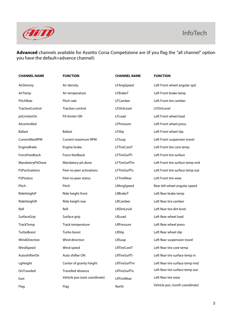

**Advanced** channels available for Assetto Corsa Competizione are (if you flag the "all channel" option you have the default+advance channel):

| <b>CHANNEL NAME</b>    | <b>FUNCTION</b>               | <b>CHANNEL NAME</b> | <b>FUNCTION</b>                  |
|------------------------|-------------------------------|---------------------|----------------------------------|
| AirDenisty             | Air density                   | LFAngSpeed          | Left Front wheel angular spd     |
| AirTemp                | Air temperature               | LFBrakeT            | Left Front brake temp            |
| PitchRate              | Pitch rate                    | LFCamber            | Left Front tire camber           |
| <b>TractionControl</b> | <b>Traction control</b>       | LFDirtLevel         | LFDirtLevel                      |
| pitLimiterOn           | Pit limiter ON                | LFLoad              | Left Front wheel load            |
| Alcontrolled           |                               | LFPressure          | Left Front wheel press           |
| <b>Ballast</b>         | <b>Ballast</b>                | LFSlip              | Left Front wheel slip            |
| CurrentMaxRPM          | <b>Current maximum RPM</b>    | LFSusp              | Left Front suspension travel     |
| EngineBrake            | Engine brake                  | <b>LFTireCoreT</b>  | Left Front tire core temp        |
| ForceFeedback          | Force feedback                | LFTireSurfTi        | Left Front tire surface          |
| MandatoryPitDone       | Mandatory pit done            | LFTireSurfTm        | Left Front tire surface temp mid |
| P2Pactivations         | Peer-to-peer activations      | LFTireSurfTo        | Left Front tire surface temp out |
| P2Pstatus              | Peer-to-peer status           | <b>LFTireWear</b>   | Left Front tire wear             |
| Pitch                  | Pitch                         | LRAngSpeed          | Rear left wheel angular speed    |
| RideHeightF            | Ride height front             | LRBrakeT            | Left Rear brake temp             |
| RideHeightR            | Ride height rear              | LRCamber            | Left Rear tire camber            |
| Roll                   | Roll                          | LRDirtLevel         | Left Rear tire dirt level        |
| SurfaceGrip            | Surface grip                  | LRLoad              | Left Rear wheel load             |
| TrackTemp              | Track temperature             | LRPressure          | Left Rear wheel press            |
| TurboBoost             | Turbo boost                   | LRSlip              | Left Rear wheel slip             |
| WindDirection          | Wind direction                | LRSusp              | Left Rear suspension travel      |
| WindSpeed              | Wind speed                    | <b>LRTireCoreT</b>  | Left Rear tire core temp         |
| AutoshifterOn          | Auto shifter ON               | LRTireSurfTi        | Left Rear tire surface temp in   |
| cgHeight               | Center of gravity height      | LRTireSurfTm        | Left Rear tire surface temp mid  |
| DisTraveled            | <b>Travelled distance</b>     | LRTireSurfTo        | Left Rear tire surface temp out  |
| East                   | Vehicle pos (east coordinate) | <b>LRTireWear</b>   | Left Rear tire wear              |
| Flag                   | Flag                          | North               | Vehicle pos. (north coordinate)  |